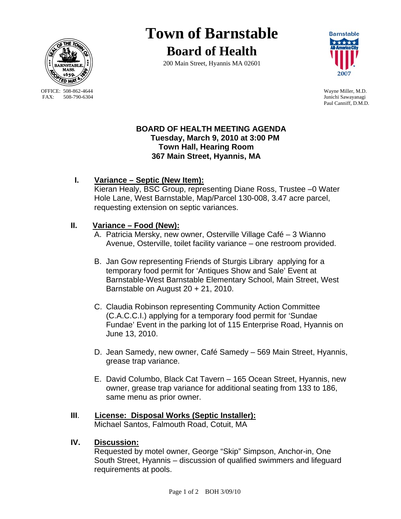

OFFICE: 508-862-4644 Wayne Miller, M.D.<br>
FAX: 508-790-6304 Junichi Sawavanagi

# **Town of Barnstable Board of Health**

200 Main Street, Hyannis MA 02601



Junichi Sawayanagi Paul Canniff, D.M.D.

### **BOARD OF HEALTH MEETING AGENDA Tuesday, March 9, 2010 at 3:00 PM Town Hall, Hearing Room 367 Main Street, Hyannis, MA**

# **I. Variance – Septic (New Item):**

Kieran Healy, BSC Group, representing Diane Ross, Trustee –0 Water Hole Lane, West Barnstable, Map/Parcel 130-008, 3.47 acre parcel, requesting extension on septic variances.

## **II. Variance – Food (New):**

- A. Patricia Mersky, new owner, Osterville Village Café 3 Wianno Avenue, Osterville, toilet facility variance – one restroom provided.
- B. Jan Gow representing Friends of Sturgis Library applying for a temporary food permit for 'Antiques Show and Sale' Event at Barnstable-West Barnstable Elementary School, Main Street, West Barnstable on August 20 + 21, 2010.
- C. Claudia Robinson representing Community Action Committee (C.A.C.C.I.) applying for a temporary food permit for 'Sundae Fundae' Event in the parking lot of 115 Enterprise Road, Hyannis on June 13, 2010.
- D. Jean Samedy, new owner, Café Samedy 569 Main Street, Hyannis, grease trap variance.
- E. David Columbo, Black Cat Tavern 165 Ocean Street, Hyannis, new owner, grease trap variance for additional seating from 133 to 186, same menu as prior owner.

#### **III**. **License: Disposal Works (Septic Installer):** Michael Santos, Falmouth Road, Cotuit, MA

## **IV. Discussion:**

Requested by motel owner, George "Skip" Simpson, Anchor-in, One South Street, Hyannis – discussion of qualified swimmers and lifeguard requirements at pools.